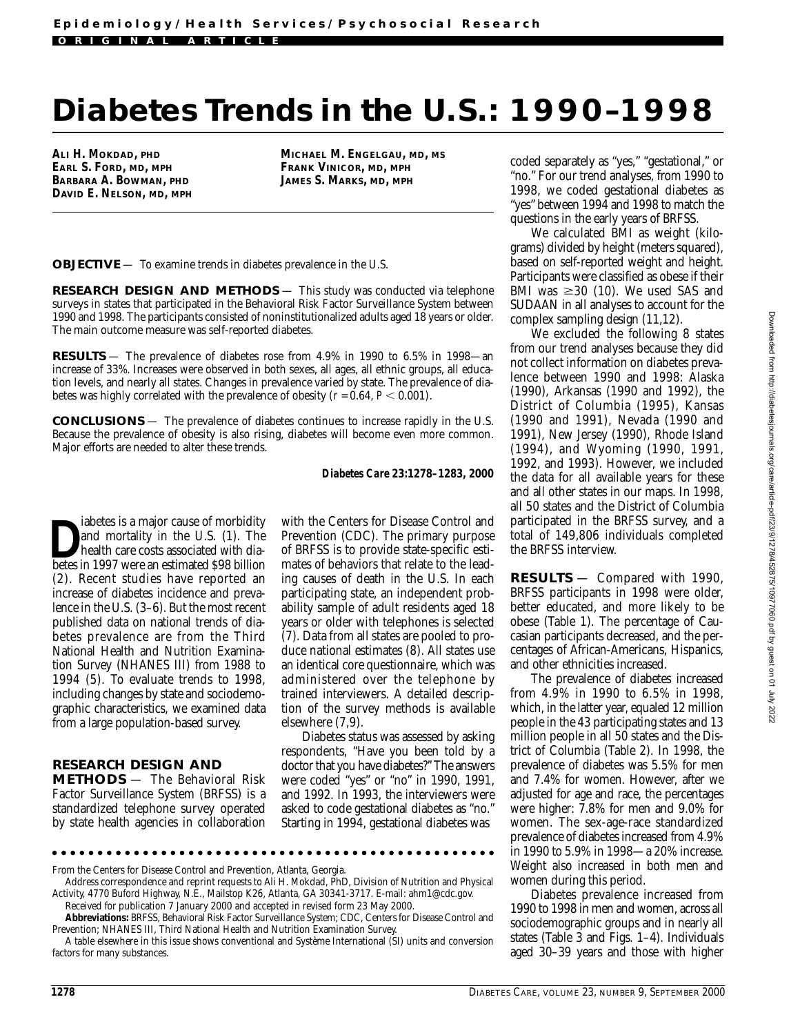**ORIGINAL ARTICLE**

# **Diabetes Trends in the U.S.: 1990–1998**

**ALI H. MOKDAD, PHD EARL S. FORD, MD, MPH BARBARA A. BOWMAN, PHD DAVID E. NELSON, MD, MPH** **MICHAEL M. ENGELGAU, MD, MS FRANK VINICOR, MD, MPH JAMES S. MARKS, MD, MPH**

**OBJECTIVE** — To examine trends in diabetes prevalence in the U.S.

**RESEARCH DESIGN AND METHODS** — This study was conducted via telephone surveys in states that participated in the Behavioral Risk Factor Surveillance System between 1990 and 1998. The participants consisted of noninstitutionalized adults aged 18 years or older. The main outcome measure was self-reported diabetes.

**RESULTS** — The prevalence of diabetes rose from 4.9% in 1990 to 6.5% in 1998—an increase of 33%. Increases were observed in both sexes, all ages, all ethnic groups, all education levels, and nearly all states. Changes in prevalence varied by state. The prevalence of diabetes was highly correlated with the prevalence of obesity  $(r = 0.64, P < 0.001)$ .

**CONCLUSIONS** — The prevalence of diabetes continues to increase rapidly in the U.S. Because the prevalence of obesity is also rising, diabetes will become even more common. Major efforts are needed to alter these trends.

#### *Diabetes Care* **23:1278–1283, 2000**

iabetes is a major cause of morbidity<br>and mortality in the U.S. (1). The<br>health care costs associated with dia-<br>betes in 1997 were an estimated S98 billion and mortality in the U.S. (1). The health care costs associated with diabetes in 1997 were an estimated \$98 billion (2). Recent studies have reported an increase of diabetes incidence and prevalence in the U.S. (3–6). But the most recent published data on national trends of diabetes prevalence are from the Third National Health and Nutrition Examination Survey (NHANES III) from 1988 to 1994 (5). To evaluate trends to 1998, including changes by state and sociodemographic characteristics, we examined data from a large population-based survey.

#### **RESEARCH DESIGN AND**

**METHODS** — The Behavioral Risk Factor Surveillance System (BRFSS) is a standardized telephone survey operated by state health agencies in collaboration

with the Centers for Disease Control and Prevention (CDC). The primary purpose of BRFSS is to provide state-specific estimates of behaviors that relate to the leading causes of death in the U.S. In each participating state, an independent probability sample of adult residents aged 18 years or older with telephones is selected (7). Data from all states are pooled to produce national estimates (8). All states use an identical core questionnaire, which was administered over the telephone by trained interviewers. A detailed description of the survey methods is available elsewhere (7,9).

Diabetes status was assessed by asking respondents, "Have you been told by a doctor that you have diabetes?" The answers were coded "yes" or "no" in 1990, 1991, and 1992. In 1993, the interviewers were asked to code gestational diabetes as "no." Starting in 1994, gestational diabetes was

From the Centers for Disease Control and Prevention, Atlanta, Georgia.

coded separately as "yes," "gestational," or "no." For our trend analyses, from 1990 to 1998, we coded gestational diabetes as "yes" between 1994 and 1998 to match the questions in the early years of BRFSS.

We calculated BMI as weight (kilograms) divided by height (meters squared), based on self-reported weight and height. Participants were classified as obese if their BMI was  $\geq 30$  (10). We used SAS and SUDAAN in all analyses to account for the complex sampling design (11,12).

We excluded the following 8 states from our trend analyses because they did not collect information on diabetes prevalence between 1990 and 1998: Alaska (1990), Arkansas (1990 and 1992), the District of Columbia (1995), Kansas (1990 and 1991), Nevada (1990 and 1991), New Jersey (1990), Rhode Island (1994), and Wyoming (1990, 1991, 1992, and 1993). However, we included the data for all available years for these and all other states in our maps. In 1998, all 50 states and the District of Columbia participated in the BRFSS survey, and a total of 149,806 individuals completed the BRFSS interview.

**RESULTS** — Compared with 1990, BRFSS participants in 1998 were older, better educated, and more likely to be obese (Table 1). The percentage of Caucasian participants decreased, and the percentages of African-Americans, Hispanics, and other ethnicities increased.

The prevalence of diabetes increased from 4.9% in 1990 to 6.5% in 1998, which, in the latter year, equaled 12 million people in the 43 participating states and 13 million people in all 50 states and the District of Columbia (Table 2). In 1998, the prevalence of diabetes was 5.5% for men and 7.4% for women. However, after we adjusted for age and race, the percentages were higher: 7.8% for men and 9.0% for women. The sex-age-race standardized prevalence of diabetes increased from 4.9% in 1990 to 5.9% in 1998—a 20% increase. Weight also increased in both men and women during this period.

Diabetes prevalence increased from 1990 to 1998 in men and women, across all sociodemographic groups and in nearly all states (Table 3 and Figs. 1–4). Individuals aged 30–39 years and those with higher

Address correspondence and reprint requests to Ali H. Mokdad, PhD, Division of Nutrition and Physical Activity, 4770 Buford Highway, N.E., Mailstop K26, Atlanta, GA 30341-3717. E-mail: ahm1@cdc.gov.

Received for publication 7 January 2000 and accepted in revised form 23 May 2000. **Abbreviations:** BRFSS, Behavioral Risk Factor Surveillance System; CDC, Centers for Disease Control and

Prevention; NHANES III, Third National Health and Nutrition Examination Survey.

A table elsewhere in this issue shows conventional and Système International (SI) units and conversion factors for many substances.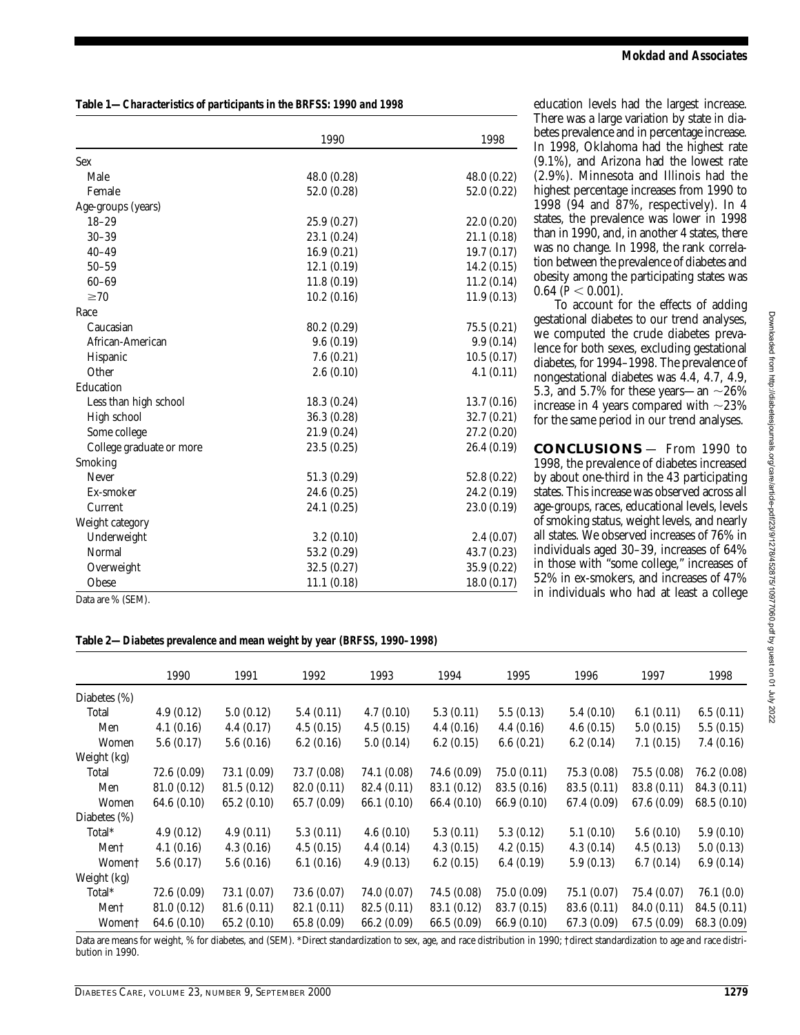**Table 1—***Characteristics of participants in the BRFSS: 1990 and 1998*

|                          | 1990        | 1998        |
|--------------------------|-------------|-------------|
| Sex                      |             |             |
| Male                     | 48.0 (0.28) | 48.0 (0.22) |
| Female                   | 52.0 (0.28) | 52.0 (0.22) |
| Age-groups (years)       |             |             |
| $18 - 29$                | 25.9(0.27)  | 22.0 (0.20) |
| $30 - 39$                | 23.1 (0.24) | 21.1(0.18)  |
| $40 - 49$                | 16.9(0.21)  | 19.7(0.17)  |
| $50 - 59$                | 12.1(0.19)  | 14.2(0.15)  |
| $60 - 69$                | 11.8(0.19)  | 11.2(0.14)  |
| $\geq 70$                | 10.2(0.16)  | 11.9(0.13)  |
| Race                     |             |             |
| Caucasian                | 80.2 (0.29) | 75.5 (0.21) |
| African-American         | 9.6(0.19)   | 9.9(0.14)   |
| Hispanic                 | 7.6(0.21)   | 10.5(0.17)  |
| Other                    | 2.6(0.10)   | 4.1(0.11)   |
| Education                |             |             |
| Less than high school    | 18.3 (0.24) | 13.7(0.16)  |
| High school              | 36.3 (0.28) | 32.7(0.21)  |
| Some college             | 21.9 (0.24) | 27.2 (0.20) |
| College graduate or more | 23.5(0.25)  | 26.4 (0.19) |
| Smoking                  |             |             |
| Never                    | 51.3 (0.29) | 52.8 (0.22) |
| Ex-smoker                | 24.6 (0.25) | 24.2 (0.19) |
| Current                  | 24.1 (0.25) | 23.0 (0.19) |
| Weight category          |             |             |
| Underweight              | 3.2(0.10)   | 2.4(0.07)   |
| Normal                   | 53.2 (0.29) | 43.7 (0.23) |
| Overweight               | 32.5(0.27)  | 35.9 (0.22) |
| Obese                    | 11.1(0.18)  | 18.0(0.17)  |

education levels had the largest increase. There was a large variation by state in diabetes prevalence and in percentage increase. In 1998, Oklahoma had the highest rate (9.1%), and Arizona had the lowest rate (2.9%). Minnesota and Illinois had the highest percentage increases from 1990 to 1998 (94 and 87%, respectively). In 4 states, the prevalence was lower in 1998 than in 1990, and, in another 4 states, there was no change. In 1998, the rank correlation between the prevalence of diabetes and obesity among the participating states was  $0.64 \ (P < 0.001)$ .

To account for the effects of adding gestational diabetes to our trend analyses, we computed the crude diabetes prevalence for both sexes, excluding gestational diabetes, for 1994–1998. The prevalence of nongestational diabetes was 4.4, 4.7, 4.9, 5.3, and 5.7% for these years—an  $\sim$ 26% increase in 4 years compared with  ${\sim}23\%$ for the same period in our trend analyses.

**CONCLUSIONS** — From 1990 to 1998, the prevalence of diabetes increased by about one-third in the 43 participating states. This increase was observed across all age-groups, races, educational levels, levels of smoking status, weight levels, and nearly all states. We observed increases of 76% in individuals aged 30–39, increases of 64% in those with "some college," increases of 52% in ex-smokers, and increases of 47% in individuals who had at least a college

Data are % (SEM).

| Table 2-Diabetes prevalence and mean weight by year (BRFSS, 1990-1998) |
|------------------------------------------------------------------------|
|------------------------------------------------------------------------|

|                    | 1990        | 1991        | 1992        | 1993        | 1994        | 1995        | 1996        | 1997        | 1998        |
|--------------------|-------------|-------------|-------------|-------------|-------------|-------------|-------------|-------------|-------------|
| Diabetes $(\%)$    |             |             |             |             |             |             |             |             |             |
| Total              | 4.9(0.12)   | 5.0(0.12)   | 5.4(0.11)   | 4.7(0.10)   | 5.3(0.11)   | 5.5(0.13)   | 5.4(0.10)   | 6.1(0.11)   | 6.5(0.11)   |
| Men                | 4.1(0.16)   | 4.4(0.17)   | 4.5(0.15)   | 4.5(0.15)   | 4.4(0.16)   | 4.4(0.16)   | 4.6(0.15)   | 5.0(0.15)   | 5.5(0.15)   |
| Women              | 5.6(0.17)   | 5.6(0.16)   | 6.2(0.16)   | 5.0(0.14)   | 6.2(0.15)   | 6.6(0.21)   | 6.2(0.14)   | 7.1(0.15)   | 7.4(0.16)   |
| Weight (kg)        |             |             |             |             |             |             |             |             |             |
| Total              | 72.6 (0.09) | 73.1 (0.09) | 73.7 (0.08) | 74.1 (0.08) | 74.6 (0.09) | 75.0 (0.11) | 75.3 (0.08) | 75.5 (0.08) | 76.2 (0.08) |
| Men                | 81.0 (0.12) | 81.5 (0.12) | 82.0 (0.11) | 82.4 (0.11) | 83.1 (0.12) | 83.5 (0.16) | 83.5 (0.11) | 83.8 (0.11) | 84.3 (0.11) |
| Women              | 64.6 (0.10) | 65.2(0.10)  | 65.7 (0.09) | 66.1 (0.10) | 66.4 (0.10) | 66.9 (0.10) | 67.4 (0.09) | 67.6 (0.09) | 68.5 (0.10) |
| Diabetes $(\%)$    |             |             |             |             |             |             |             |             |             |
| $Total*$           | 4.9(0.12)   | 4.9(0.11)   | 5.3(0.11)   | 4.6(0.10)   | 5.3(0.11)   | 5.3(0.12)   | 5.1(0.10)   | 5.6(0.10)   | 5.9(0.10)   |
| Men <sup>†</sup>   | 4.1(0.16)   | 4.3(0.16)   | 4.5(0.15)   | 4.4(0.14)   | 4.3(0.15)   | 4.2(0.15)   | 4.3(0.14)   | 4.5(0.13)   | 5.0(0.13)   |
| Women <sup>†</sup> | 5.6(0.17)   | 5.6(0.16)   | 6.1(0.16)   | 4.9(0.13)   | 6.2(0.15)   | 6.4(0.19)   | 5.9(0.13)   | 6.7(0.14)   | 6.9(0.14)   |
| Weight (kg)        |             |             |             |             |             |             |             |             |             |
| Total*             | 72.6(0.09)  | 73.1 (0.07) | 73.6 (0.07) | 74.0 (0.07) | 74.5 (0.08) | 75.0 (0.09) | 75.1 (0.07) | 75.4 (0.07) | 76.1(0.0)   |
| Men <sup>†</sup>   | 81.0 (0.12) | 81.6(0.11)  | 82.1 (0.11) | 82.5(0.11)  | 83.1 (0.12) | 83.7 (0.15) | 83.6 (0.11) | 84.0 (0.11) | 84.5 (0.11) |
| Women <sup>†</sup> | 64.6 (0.10) | 65.2 (0.10) | 65.8 (0.09) | 66.2 (0.09) | 66.5 (0.09) | 66.9 (0.10) | 67.3 (0.09) | 67.5 (0.09) | 68.3 (0.09) |
|                    |             |             |             |             |             |             |             |             |             |

Data are means for weight, % for diabetes, and (SEM). \*Direct standardization to sex, age, and race distribution in 1990; †direct standardization to age and race distribution in 1990.

Downloaded from http://diabetesjournals.org/care/article-pdf/23/9/1278/452875/10977060.pdf by guest on 01 July 2022 Downloaded from http://diabetesjournals.org/care/article-pdf/23/9/1278/452875/10977060.pdf by guest on 01 July 2022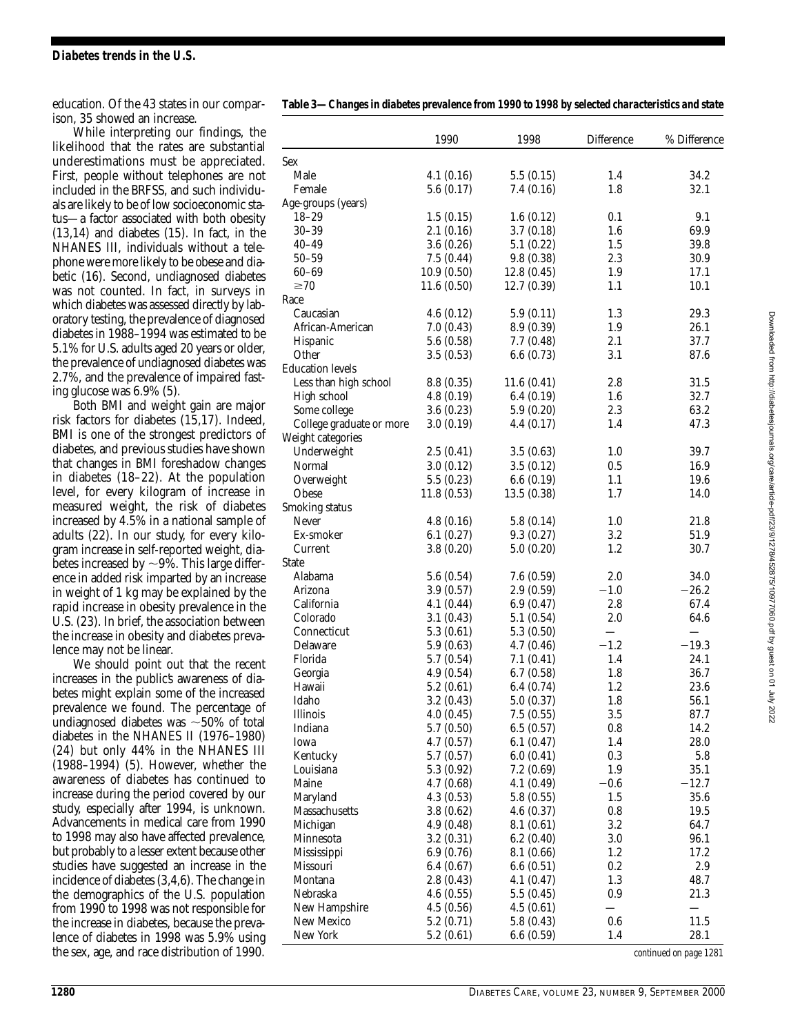### *Diabetes trends in the U.S.*

education. Of the 43 states in our comparison, 35 showed an increase.

While interpreting our findings, the likelihood that the rates are substantial underestimations must be appreciated. First, people without telephones are not included in the BRFSS, and such individuals are likely to be of low socioeconomic status—a factor associated with both obesity (13,14) and diabetes (15). In fact, in the NHANES III, individuals without a telephone were more likely to be obese and diabetic (16). Second, undiagnosed diabetes was not counted. In fact, in surveys in which diabetes was assessed directly by laboratory testing, the prevalence of diagnosed diabetes in 1988–1994 was estimated to be 5.1% for U.S. adults aged 20 years or older, the prevalence of undiagnosed diabetes was 2.7%, and the prevalence of impaired fasting glucose was 6.9% (5).

Both BMI and weight gain are major risk factors for diabetes (15,17). Indeed, BMI is one of the strongest predictors of diabetes, and previous studies have shown that changes in BMI foreshadow changes in diabetes (18–22). At the population level, for every kilogram of increase in measured weight, the risk of diabetes increased by 4.5% in a national sample of adults (22). In our study, for every kilogram increase in self-reported weight, diabetes increased by  ${\sim}9\%$ . This large difference in added risk imparted by an increase in weight of 1 kg may be explained by the rapid increase in obesity prevalence in the U.S. (23). In brief, the association between the increase in obesity and diabetes prevalence may not be linear.

We should point out that the recent increases in the public's awareness of diabetes might explain some of the increased prevalence we found. The percentage of undiagnosed diabetes was  $\sim$ 50% of total diabetes in the NHANES II (1976–1980) (24) but only 44% in the NHANES III (1988–1994) (5). However, whether the awareness of diabetes has continued to increase during the period covered by our study, especially after 1994, is unknown. Advancements in medical care from 1990 to 1998 may also have affected prevalence, but probably to a lesser extent because other studies have suggested an increase in the incidence of diabetes (3,4,6). The change in the demographics of the U.S. population from 1990 to 1998 was not responsible for the increase in diabetes, because the prevalence of diabetes in 1998 was 5.9% using the sex, age, and race distribution of 1990.

| Table 3—Changes in diabetes prevalence from 1990 to 1998 by selected characteristics and state |  |  |  |
|------------------------------------------------------------------------------------------------|--|--|--|
|                                                                                                |  |  |  |

|                          | 1990       | 1998        | Difference               | % Difference |
|--------------------------|------------|-------------|--------------------------|--------------|
| Sex                      |            |             |                          |              |
| Male                     | 4.1(0.16)  | 5.5(0.15)   | 1.4                      | 34.2         |
| Female                   | 5.6(0.17)  | 7.4(0.16)   | 1.8                      | 32.1         |
| Age-groups (years)       |            |             |                          |              |
| $18 - 29$                | 1.5(0.15)  | 1.6(0.12)   | 0.1                      | 9.1          |
| $30 - 39$                | 2.1(0.16)  | 3.7(0.18)   | 1.6                      | 69.9         |
| $40 - 49$                | 3.6(0.26)  | 5.1(0.22)   | 1.5                      | 39.8         |
| $50 - 59$                | 7.5(0.44)  | 9.8(0.38)   | 2.3                      | 30.9         |
| $60 - 69$                | 10.9(0.50) | 12.8(0.45)  | 1.9                      | 17.1         |
| $\geq 70$                | 11.6(0.50) | 12.7 (0.39) | 1.1                      | 10.1         |
| Race                     |            |             |                          |              |
| Caucasian                | 4.6(0.12)  | 5.9(0.11)   | 1.3                      | 29.3         |
| African-American         | 7.0(0.43)  | 8.9(0.39)   | 1.9                      | 26.1         |
| Hispanic                 | 5.6(0.58)  | 7.7(0.48)   | 2.1                      | 37.7         |
| Other                    | 3.5(0.53)  | 6.6(0.73)   | 3.1                      | 87.6         |
| <b>Education</b> levels  |            |             |                          |              |
| Less than high school    | 8.8(0.35)  | 11.6(0.41)  | 2.8                      | 31.5         |
| High school              | 4.8(0.19)  | 6.4(0.19)   | 1.6                      | 32.7         |
| Some college             | 3.6(0.23)  | 5.9(0.20)   | 2.3                      | 63.2         |
| College graduate or more | 3.0(0.19)  | 4.4(0.17)   | 1.4                      | 47.3         |
| Weight categories        |            |             |                          |              |
| Underweight              | 2.5(0.41)  | 3.5(0.63)   | 1.0                      | 39.7         |
| Normal                   | 3.0(0.12)  | 3.5(0.12)   | 0.5                      | 16.9         |
| Overweight               | 5.5(0.23)  | 6.6(0.19)   | 1.1                      | 19.6         |
| Obese                    | 11.8(0.53) | 13.5 (0.38) | 1.7                      | 14.0         |
| Smoking status           |            |             |                          |              |
| Never                    | 4.8(0.16)  | 5.8(0.14)   | 1.0                      | 21.8         |
| Ex-smoker                | 6.1(0.27)  | 9.3(0.27)   | 3.2                      | 51.9         |
| Current                  | 3.8(0.20)  | 5.0(0.20)   | 1.2                      | 30.7         |
| <b>State</b>             |            |             |                          |              |
| Alabama                  | 5.6(0.54)  | 7.6(0.59)   | 2.0                      | 34.0         |
| Arizona                  | 3.9(0.57)  | 2.9(0.59)   | $-1.0$                   | $-26.2$      |
| California               | 4.1(0.44)  | 6.9(0.47)   | 2.8                      | 67.4         |
| Colorado                 | 3.1(0.43)  | 5.1(0.54)   | 2.0                      | 64.6         |
| Connecticut              | 5.3(0.61)  | 5.3(0.50)   |                          |              |
| Delaware                 | 5.9(0.63)  | 4.7(0.46)   | $-1.2$                   | $-19.3$      |
| Florida                  | 5.7(0.54)  | 7.1(0.41)   | 1.4                      | 24.1         |
| Georgia                  | 4.9(0.54)  | 6.7(0.58)   | 1.8                      | 36.7         |
| Hawaii                   | 5.2(0.61)  | 6.4(0.74)   | 1.2                      | 23.6         |
| Idaho                    | 3.2(0.43)  | 5.0(0.37)   | 1.8                      | 56.1         |
| Illinois                 | 4.0(0.45)  | 7.5(0.55)   | 3.5                      | 87.7         |
| Indiana                  | 5.7(0.50)  | 6.5(0.57)   | 0.8                      | 14.2         |
| Iowa                     | 4.7(0.57)  | 6.1(0.47)   | 1.4                      | 28.0         |
| Kentucky                 | 5.7(0.57)  | 6.0(0.41)   | 0.3                      | 5.8          |
| Louisiana                | 5.3(0.92)  | 7.2(0.69)   | 1.9                      | 35.1         |
| Maine                    | 4.7(0.68)  | 4.1(0.49)   | $-0.6$                   | $-12.7$      |
| Maryland                 | 4.3(0.53)  | 5.8(0.55)   | 1.5                      | 35.6         |
| Massachusetts            | 3.8(0.62)  | 4.6(0.37)   | 0.8                      | 19.5         |
| Michigan                 | 4.9(0.48)  | 8.1(0.61)   | 3.2                      | 64.7         |
| Minnesota                | 3.2(0.31)  | 6.2(0.40)   | 3.0                      | 96.1         |
| Mississippi              | 6.9(0.76)  | 8.1(0.66)   | 1.2                      | 17.2         |
| Missouri                 | 6.4(0.67)  | 6.6(0.51)   | 0.2                      | 2.9          |
| Montana                  | 2.8(0.43)  | 4.1(0.47)   | 1.3                      | 48.7         |
| Nebraska                 | 4.6(0.55)  | 5.5(0.45)   | 0.9                      | 21.3         |
| New Hampshire            | 4.5(0.56)  | 4.5(0.61)   | $\overline{\phantom{0}}$ |              |
| New Mexico               | 5.2(0.71)  | 5.8 (0.43)  | 0.6                      | 11.5         |
| New York                 | 5.2(0.61)  | 6.6(0.59)   | 1.4                      | 28.1         |

*continued on page 1281*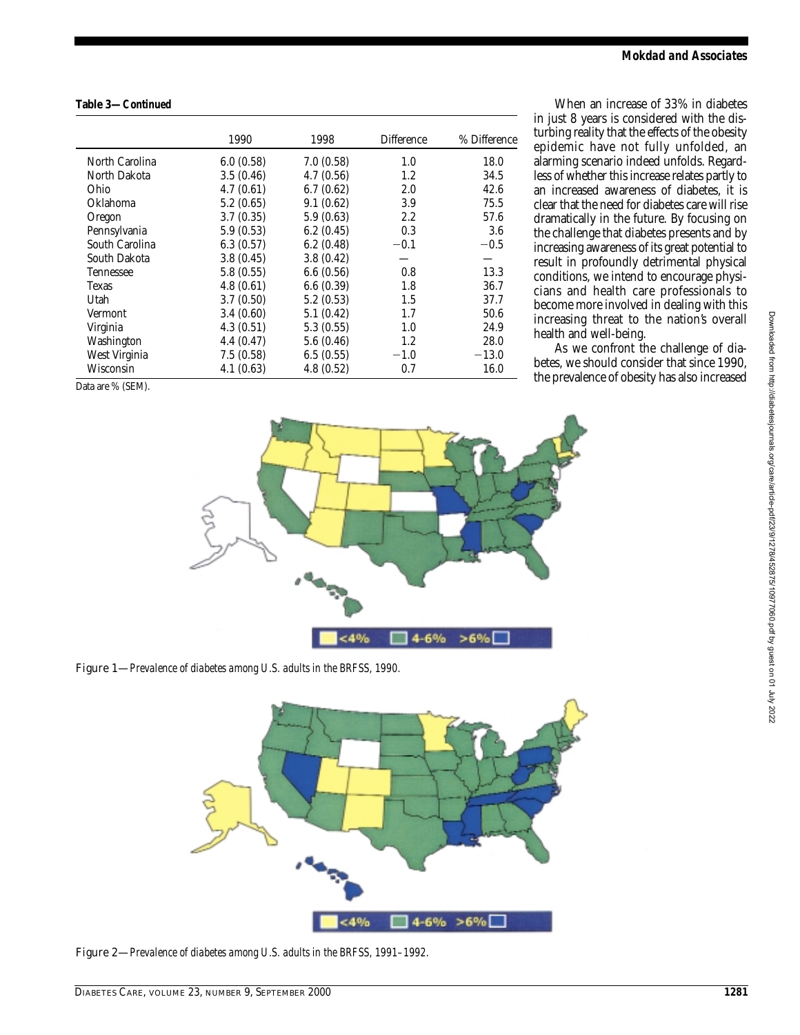$< 4%$ 

*Mokdad and Associates*

When an increase of 33% in diabetes in just 8 years is considered with the disturbing reality that the effects of the obesity epidemic have not fully unfolded, an alarming scenario indeed unfolds. Regardless of whether this increase relates partly to an increased awareness of diabetes, it is clear that the need for diabetes care will rise dramatically in the future. By focusing on the challenge that diabetes presents and by increasing awareness of its great potential to result in profoundly detrimental physical conditions, we intend to encourage physicians and health care professionals to become more involved in dealing with this increasing threat to the nation's overall health and well-being.

As we confront the challenge of diabetes, we should consider that since 1990, the prevalence of obesity has also increased





 $4-6% > 6%$ 

## **Table 3—***Continued*

|                 | 1990      | 1998      | Difference | % Difference |
|-----------------|-----------|-----------|------------|--------------|
| North Carolina  | 6.0(0.58) | 7.0(0.58) | 1.0        | 18.0         |
| North Dakota    | 3.5(0.46) | 4.7(0.56) | 1.2        | 34.5         |
| Ohio            | 4.7(0.61) | 6.7(0.62) | 2.0        | 42.6         |
| <b>Oklahoma</b> | 5.2(0.65) | 9.1(0.62) | 3.9        | 75.5         |
| Oregon          | 3.7(0.35) | 5.9(0.63) | 2.2        | 57.6         |
| Pennsylvania    | 5.9(0.53) | 6.2(0.45) | 0.3        | 3.6          |
| South Carolina  | 6.3(0.57) | 6.2(0.48) | $-0.1$     | $-0.5$       |
| South Dakota    | 3.8(0.45) | 3.8(0.42) |            |              |
| Tennessee       | 5.8(0.55) | 6.6(0.56) | 0.8        | 13.3         |
| <b>Texas</b>    | 4.8(0.61) | 6.6(0.39) | 1.8        | 36.7         |
| Utah            | 3.7(0.50) | 5.2(0.53) | 1.5        | 37.7         |
| Vermont         | 3.4(0.60) | 5.1(0.42) | 1.7        | 50.6         |
| Virginia        | 4.3(0.51) | 5.3(0.55) | 1.0        | 24.9         |
| Washington      | 4.4(0.47) | 5.6(0.46) | 1.2        | 28.0         |
| West Virginia   | 7.5(0.58) | 6.5(0.55) | $-1.0$     | $-13.0$      |
| Wisconsin       | 4.1(0.63) | 4.8(0.52) | 0.7        | 16.0         |

Data are % (SEM).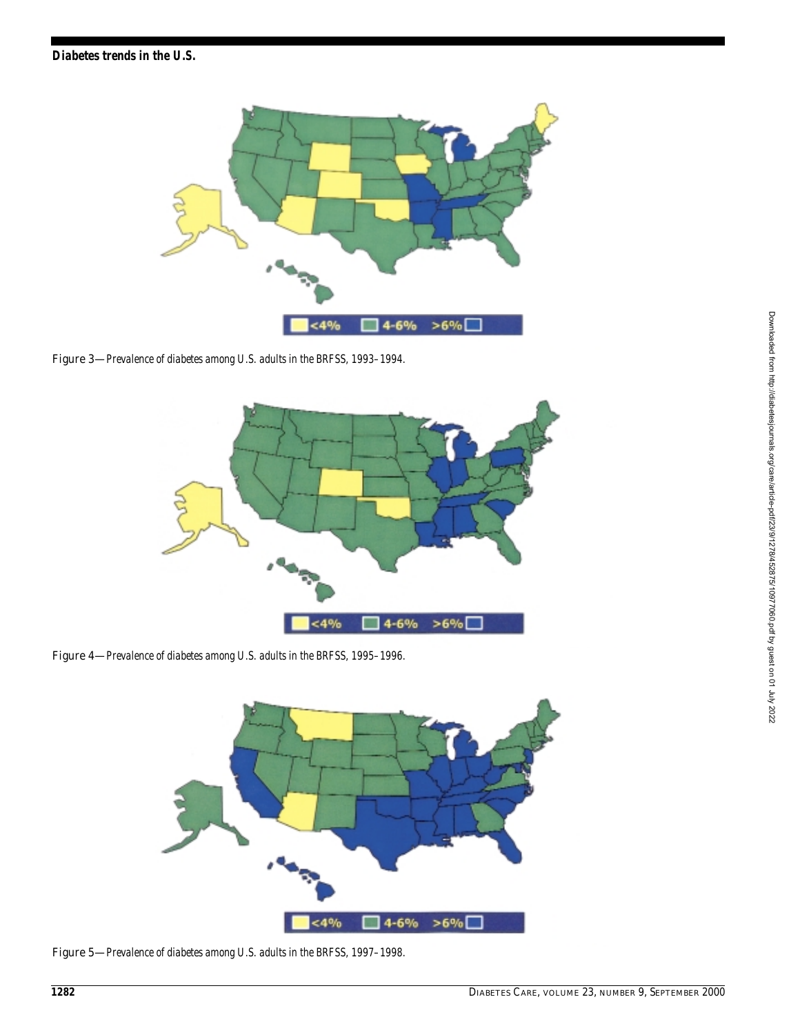

Figure 3—*Prevalence of diabetes among U.S. adults in the BRFSS, 1993–1994.*



Figure 4—*Prevalence of diabetes among U.S. adults in the BRFSS, 1995–1996.*



Figure 5—*Prevalence of diabetes among U.S. adults in the BRFSS, 1997–1998.*